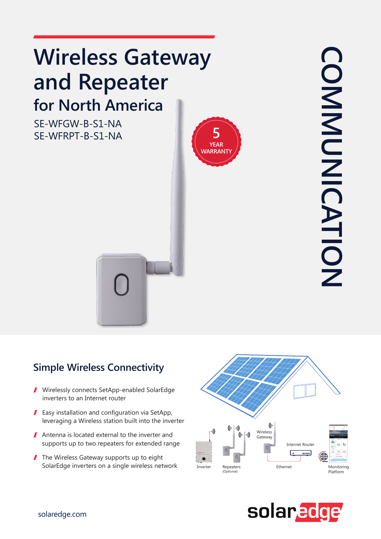# **Wireless Gateway** and Repeater **for North America**

SE-WFGW-B-S1-NA SE-WFRPT-B-S1-NA



**COMMUNICATION COMMUNICATION** 

### **Simple Wireless Connectivity**

- Virelessly connects SetApp-enabled SolarEdge inverters to an Internet router
- $\blacksquare$  Easy installation and configuration via SetApp, leveraging a Wireless station built into the inverter
- Antenna is located external to the inverter and supports up to two repeaters for extended range
- $\blacksquare$  The Wireless Gateway supports up to eight SolarEdge inverters on a single wireless network



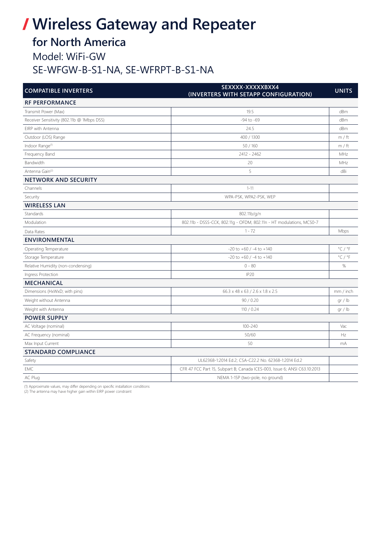# **/ Wireless Gateway and Repeater**

## **for North America**

Model: WiFi-GW

#### SE-WFGW-B-S1-NA, SE-WFRPT-B-S1-NA

| <b>COMPATIBLE INVERTERS</b>                | SEXXXX-XXXXXBXX4<br>(INVERTERS WITH SETAPP CONFIGURATION)                 | <b>UNITS</b>                |
|--------------------------------------------|---------------------------------------------------------------------------|-----------------------------|
| <b>RF PERFORMANCE</b>                      |                                                                           |                             |
| Transmit Power (Max)                       | 19.5                                                                      | dBm                         |
| Receiver Sensitivity (802.11b @ 1Mbps DSS) | $-94$ to $-69$                                                            | dBm                         |
| EIRP with Antenna                          | 24.5                                                                      | dBm                         |
| Outdoor (LOS) Range                        | 400 / 1300                                                                | m / ft                      |
| Indoor Range <sup>(1)</sup>                | 50/160                                                                    | m / ft                      |
| Frequency Band                             | 2412 - 2462                                                               | MHz                         |
| Bandwidth                                  | 20                                                                        | MHz                         |
| Antenna Gain <sup>(2)</sup>                | 5                                                                         | dBi                         |
| <b>NETWORK AND SECURITY</b>                |                                                                           |                             |
| Channels                                   | $1 - 11$                                                                  |                             |
| Security                                   | WPA-PSK, WPA2-PSK, WEP                                                    |                             |
| <b>WIRELESS LAN</b>                        |                                                                           |                             |
| Standards                                  | 802.11b/g/n                                                               |                             |
| Modulation                                 | 802.11b - DSSS-CCK, 802.11g - OFDM, 802.11n - HT modulations, MCS0-7      |                             |
| Data Rates                                 | $1 - 72$                                                                  | Mbps                        |
| <b>ENVIRONMENTAL</b>                       |                                                                           |                             |
| Operating Temperature                      | $-20$ to $+60$ / $-4$ to $+140$                                           | $^{\circ}$ C / $^{\circ}$ F |
| Storage Temperature                        | $-20$ to $+60$ / $-4$ to $+140$                                           | $^{\circ}$ C / $^{\circ}$ F |
| Relative Humidity (non-condensing)         | $0 - 80$                                                                  | $\%$                        |
| Ingress Protection                         | IP20                                                                      |                             |
| <b>MECHANICAL</b>                          |                                                                           |                             |
| Dimensions (HxWxD; with pins)              | 66.3 x 48 x 63 / 2.6 x 1.8 x 2.5                                          | mm / inch                   |
| Weight without Antenna                     | 90/0.20                                                                   | gr / lb                     |
| Weight with Antenna                        | 110 / 0.24                                                                | gr / lb                     |
| <b>POWER SUPPLY</b>                        |                                                                           |                             |
| AC Voltage (nominal)                       | 100-240                                                                   | Vac                         |
| AC Frequency (nominal)                     | 50/60                                                                     | Hz                          |
| Max Input Current                          | 50                                                                        | mA                          |
| <b>STANDARD COMPLIANCE</b>                 |                                                                           |                             |
| Safety                                     | UL62368-1:2014 Ed.2; CSA-C22.2 No. 62368-1:2014 Ed.2                      |                             |
| EMC                                        | CFR 47 FCC Part 15, Subpart B; Canada ICES-003, Issue 6; ANSI C63.10:2013 |                             |
| AC Plug                                    | NEMA 1-15P (two-pole, no ground)                                          |                             |

(1) Approximate values, may differ depending on specific installation conditions

(2) The antenna may have higher gain within EIRP power constraint